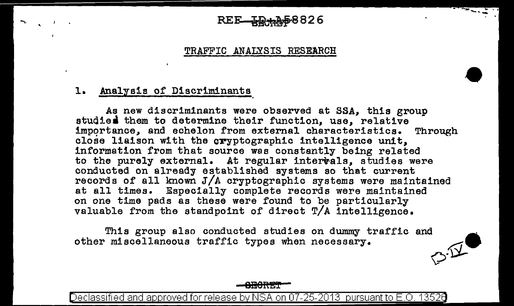#### 58826 REE\_IJ

#### TRAFFIC ANALYSIS RESEARCH

#### 1. Analysis of Discriminants

.... \_

 $\mathbf{r}$ 

As new discriminants were observed at SSA, this group studies them to determine their function, use, relative importance, and echelon from external characteristics. Through close liaison with the cryptographic intelligence unit. information from that source waa constantly being related to the purely external. At regular interwals, studies were conducted on already established systems so that current records of all known J/A cryptographic systems were maintained at all times. Especially complete records were maintained on one time pads as these were found to be particularly valuable from the standpoint of direct T/A intelligence.

This group also conducted studies on dummy traffic and other miscellaneous traffic types when necessary.  $\mathcal{P}^{\mathcal{V}}$ 



Declassified and approved for release by NSA on 07-25-2013  $\,$  pursuant to E.O. 13526  $\,$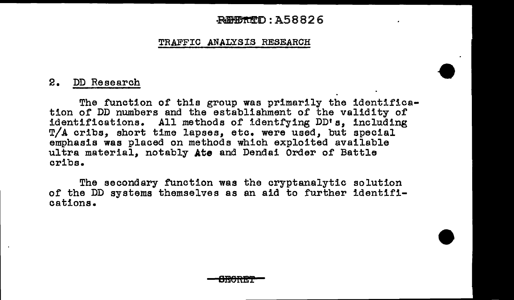#### ~:A58826

#### TRAFFIC ANALYSIS RESEARCH

#### 2. DD Research

The function of this group was primarily the identification of DD numbers and the establishment of the validity of identifications. All methods of identfying DD's, including T/A cribs, short time lapses, etc. were used, but special emphasis was placed on methods which exploited available ultra material, notably **Ate** and Dendai Order of Battle cribs.

The secondary function was the cryptanalytic solution of the DD systems themselves as an aid to further identifications.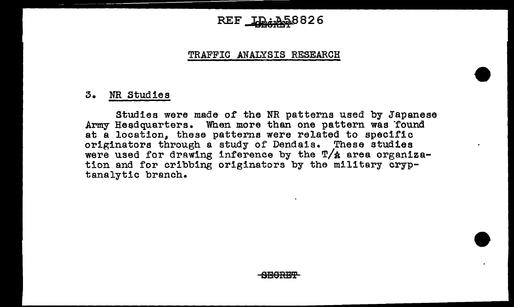## $REF$   $LD+258826$

#### TRAFFIC ANALYSIS RESEARCH

#### 3. NR Studies

Studies were made of the NR patterns used by Japanese Army Headquarters. When more than one pattern was found at a location, these patterns were related to specific originators through a study of Dendais. These studies were used for drawing inference by the  $T/A$  area organization and for cribbing originators by the military cryptanalytic branch.

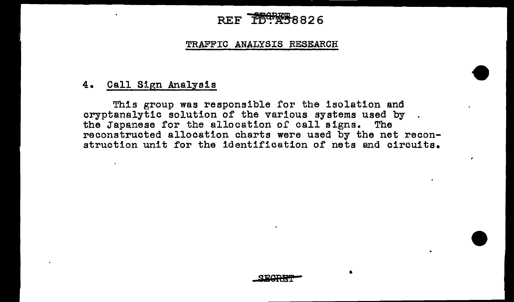# REF **164888826**

#### TRAFFIC ANALYSIS RESEARCH

#### 4. Call Sign Analysis

This group was responsible for the isolation and cryptanalytic solution of the various systems used by tbe Japanese for the allocation of call signs. The reconstructed allocation charts were used by the net reconstruction unit for the identification of nets and circuits.

•

 $\lambda$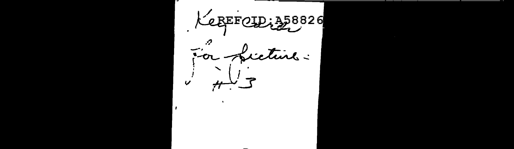LEBEFOLD, 358826 For ficture.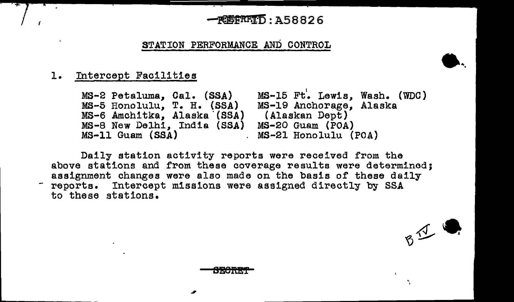#### -~:A58826

STATION PERFORMANCE AND CONTROL

#### 1. Intercept Facilities

......

MS-2 Petaluma, Cal. (SSA) MS-5 Honolulu, T. H. {SSA) MS-6 Amchitka, Alaska '(SSA) MS-8 New Delhi, India (SSA) MS-11 Guam (SSA) <sup>l</sup>MS-15 Ft. Lewis, Wash. (WDC) MS-19 Anchorage, Alaska (Alaskan Dept) MS-20 Guam (POA) MS-21 Honolulu (POA)

·.

 $B^{\frac{1}{2}}$ 

Daily station activity reports were received from the above stations and from these coverage results were determined;<br>assignment changes were also made on the basis of these daily reports. Intercept missions were assigned directly by SSA to these stations.

TEN ZINTET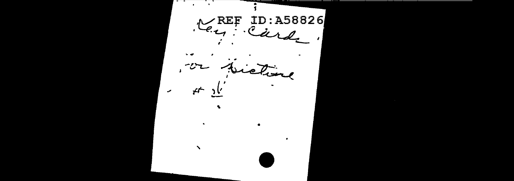. . . .  $\times$  REF ID:A58826  $K_{\epsilon}$ Earl or pictime ستعمش っい م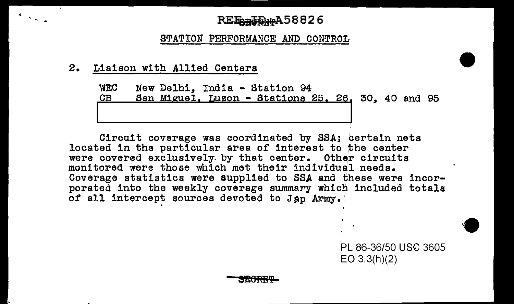### REE<sub>nn</sub> Tuber A58826

STATION PERFORMANCE AND CONTROL

2. Liaison with Allied Centers

 $\mathcal{F}_{\mathcal{A},\mathcal{A},\mathcal{A}}$ 

WEC New Delhi, India - Station 94 San Miguel, Luzon - Stations 25, 26, 30, 40 and 95 <u>I - Andrea Andrew American American American American American American American American A</u>

Circuit coverage was coordinated by SSAj certain nets located in the particular area of interest to the center were covered exclusively by that center. Other circuits monitored were those which met their individual needs. Coverage statistics were supplied to SSA and these were incorporated into the weekly coverage summary which included totals of all intercept sources devoted to Jap Army.

> PL 86-36/50 USC 3605 EO 3.3(h)(2)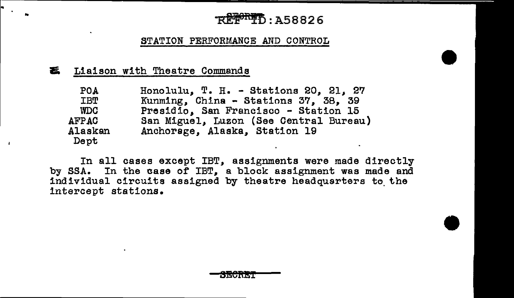# .<br>REF<sup>or</sup>TD: A58826

#### STATION PERFORMANCE AND CONTROL

#### ~ Liaison with Theatre Commands

| POA             | Honolulu, T. H. - Stations 20, 21, 27  |
|-----------------|----------------------------------------|
| IBT             | Kunming, China - Stations 37, 38, 39   |
| WDC             | Presidio, San Francisco - Station 15   |
| <b>AFPAC</b>    | San Miguel, Luzon (See Central Bureau) |
| Alaskan<br>Dept | Anchorage, Alaska, Station 19          |

In all cases except IBT, assignments were made directly by SSA. In the case of IBT, a block assignment was made and individual circuits assigned by theatre headquarters to the intercept stations.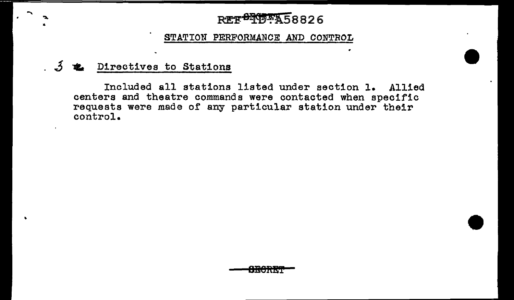## **REF<sup>84</sup>1558826**

#### STATION PERFORMANCE AND CONTROL

## 5 **2** Directives to Stations

Included all stations listed under section l. Allied centers and theatre commands were contacted when specific requests were made of any particular station under their control.

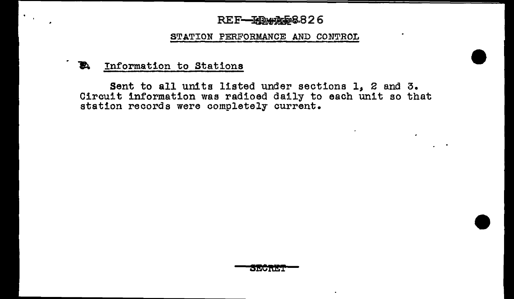#### REF-FD. 25888826

#### STATION PERFORMANCE AND CONTROL

#### ~ Information to Stations

 $\mathcal{A} \subset \mathcal{A}$ 

Sent to all units listed under sections 1, 2 and 3. Circuit information was radioed daily to each unit so that station records were completely current.

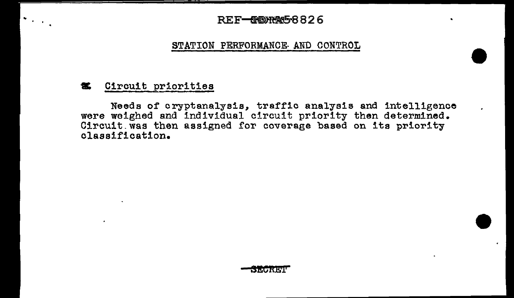#### REF-CORA5826

#### STATION PERFORMANCE AND CONTROL

#### **等** Circuit priorities

 $\sigma_{\rm{max}}$ 

Needs of cryptanalysis, traffic analysis and intelligence were weighed and individual circuit priority then determined. Circuit was then assigned for coverage based on its priority classification.

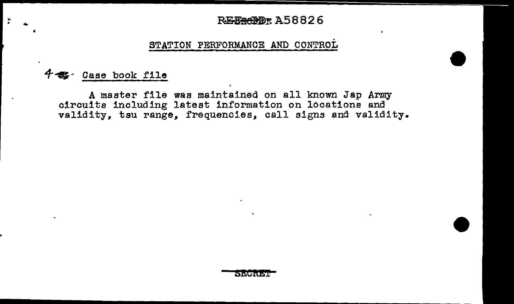#### **REEGEDT A58826**

#### STATION PERFORMANCE AND CONTROL

#### Case book file

..

A master file was maintained on all known Jap Army circuits including latest information on locations and validity, tau range, frequencies, call signs and validity.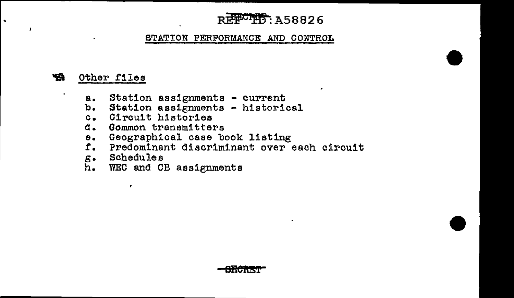## REFCTT: A58826

#### STATION PERFORMANCE AND CONTROL

#### **会** Other files

 $\ddot{\phantom{1}}$ 

 $\overline{a}$ 

- a. Station assignments current
- b. Station assignments historical<br>c. Circuit histories
- c. Circuit histories<br>d. Common transmitte:
- d. Common transmitters<br>e. Geographical case b
- e. Geographical case book listing<br>f. Predominant discriminant over
- f. Predominant discriminant over each circuit
- g. Schedules

 $\mathbf{r}$ 

WEC and CB assignments

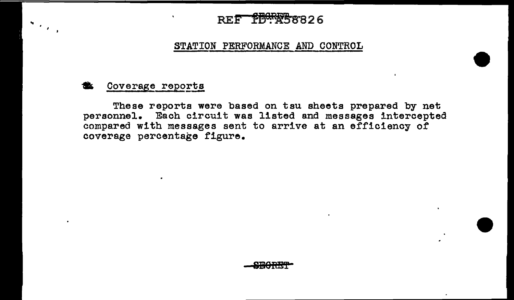## **REF PBORF58826**

#### STATION PERFORMANCE AND CONTROL

#### Coverage reports

 $S_{\rm{max}}$ 

 $\ddot{\phantom{a}}$ 

These reports were based on tsu sheets prepared by net personnel. Each circuit was listed and messages intercepted compared with messages sent to arrive at an efficiency of coverage percentage figure.

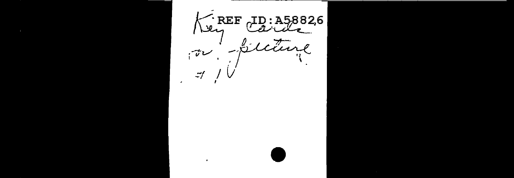$\cdot$  REF ID: A5882,6 رملا Siction  $\boldsymbol{z}$  $\vec{v}$ تتصادمه  $-1$  $\epsilon$ 

 $\cdot$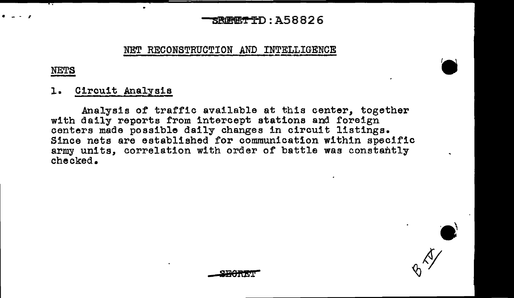#### SROETID: A58826

#### NET RECONSTRUCTION AND INTELLIGENCE

#### **NETS**

#### Circuit Analysis  $1.$

Analysis of traffic available at this center, together with daily reports from intercept stations and foreign centers made possible daily changes in circuit listings. Since nets are established for communication within specific army units, correlation with order of battle was constantly checked.

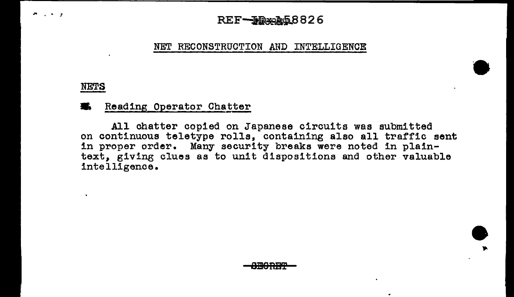### $REF-JR$

#### NET RECONSTRUCTION AND INTELLIGENCE

#### NETS

 $\sim$   $\sim$   $\sim$ 

#### Reading Operator Chatter

All chatter copied on Japanese circuits was submitted on continuous teletype rolls, containing also all traffic sent in proper order. Many security breaks were noted in plaintext, giving clues as to unit dispositions and other valuable intelligence.

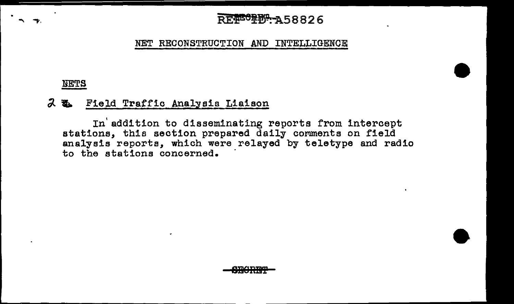## REPCTER-A58826

NET RECONSTRUCTION AND INTELLIGENCE

#### NETS

#### ().. **W.** Field Traffic Analysis Liaison

In addition to disseminating reports from intercept stations, this section prepared daily comments on field analysis reports, which were relayed by teletype and radio to the stations concerned. ·

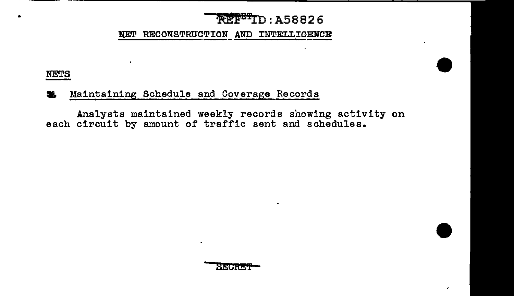## **NEPETD: A58826**

NET RECONSTRUCTION AND INTELLIGENCE

#### **NETS**

#### Maintaining Schedule and Coverage Records

Analysts maintained weekly records showing activity on each circuit by amount of traffic sent and schedules.



٠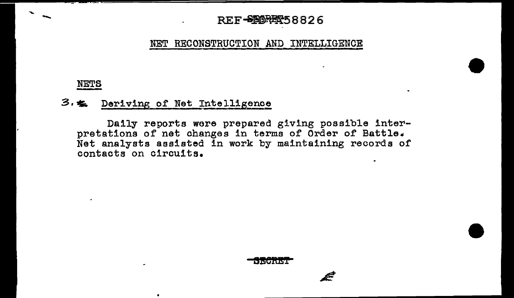# - REF<del>-880RET</del>58826

#### NET RECONSTRUCTION AND INTELLIGENCE

#### NETS

....

#### 3.  $\leq$  Deriving of Net Intelligence

 $\bullet$ 

Daily reports wore prepared giving possible interpretations of net changes in terms of Order of Battle. Net analysts assisted in work by maintaining records of contacts on circuits.

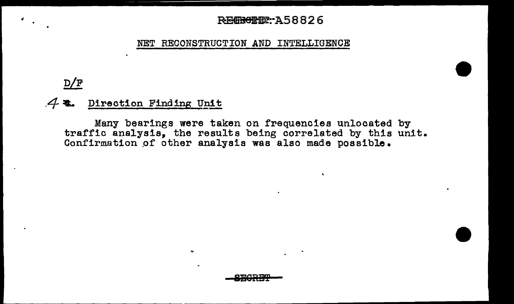#### **REGRONDY: A58826**

 $\bullet$ 

NET RECONSTRUCTION AND INTELLIGENCE

## D/F

Æ.  $\bullet$ 

### 4. Direction Finding Unit

Many bearings were taken on frequencies unlocated by traffic analysis, the results being correlated by this unit. Confirmation of other analysis was also made possible.